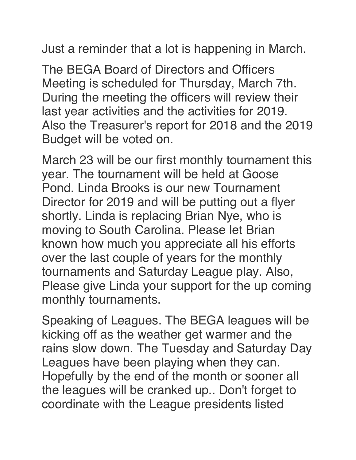Just a reminder that a lot is happening in March.

The BEGA Board of Directors and Officers Meeting is scheduled for Thursday, March 7th. During the meeting the officers will review their last year activities and the activities for 2019. Also the Treasurer's report for 2018 and the 2019 Budget will be voted on.

March 23 will be our first monthly tournament this year. The tournament will be held at Goose Pond. Linda Brooks is our new Tournament Director for 2019 and will be putting out a flyer shortly. Linda is replacing Brian Nye, who is moving to South Carolina. Please let Brian known how much you appreciate all his efforts over the last couple of years for the monthly tournaments and Saturday League play. Also, Please give Linda your support for the up coming monthly tournaments.

Speaking of Leagues. The BEGA leagues will be kicking off as the weather get warmer and the rains slow down. The Tuesday and Saturday Day Leagues have been playing when they can. Hopefully by the end of the month or sooner all the leagues will be cranked up.. Don't forget to coordinate with the League presidents listed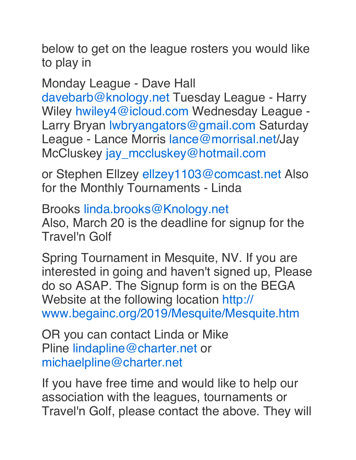below to get on the league rosters you would like to play in

Monday League - Dave Hall

davebarb@knology.net Tuesday League - Harry Wiley hwiley4@icloud.com Wednesday League -Larry Bryan lwbryangators@gmail.com Saturday League - Lance Morris lance@morrisal.net/Jay McCluskey jay\_mccluskey@hotmail.com

or Stephen Ellzey ellzey1103@comcast.net Also for the Monthly Tournaments - Linda

Brooks linda.brooks@Knology.net Also, March 20 is the deadline for signup for the Travel'n Golf

Spring Tournament in Mesquite, NV. If you are interested in going and haven't signed up, Please do so ASAP. The Signup form is on the BEGA Website at the following location http:// www.begainc.org/2019/Mesquite/Mesquite.htm

OR you can contact Linda or Mike Pline lindapline@charter.net or michaelpline@charter.net

If you have free time and would like to help our association with the leagues, tournaments or Travel'n Golf, please contact the above. They will